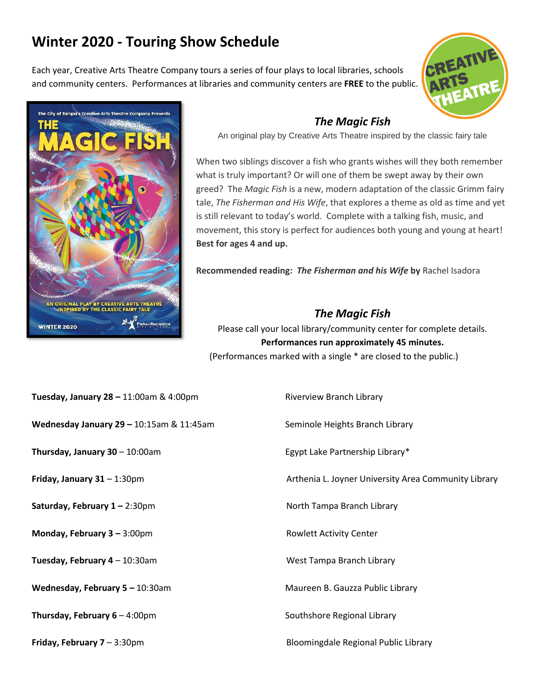## **Winter 2020 - Touring Show Schedule**

Each year, Creative Arts Theatre Company tours a series of four plays to local libraries, schools and community centers. Performances at libraries and community centers are **FREE** to the public.





## *The Magic Fish*

An original play by Creative Arts Theatre inspired by the classic fairy tale

When two siblings discover a fish who grants wishes will they both remember what is truly important? Or will one of them be swept away by their own greed? The *Magic Fish* is a new, modern adaptation of the classic Grimm fairy tale, *The Fisherman and His Wife*, that explores a theme as old as time and yet is still relevant to today's world. Complete with a talking fish, music, and movement, this story is perfect for audiences both young and young at heart! **Best for ages 4 and up.**

**Recommended reading:** *The Fisherman and his Wife* **by** Rachel Isadora

## *The Magic Fish*

Please call your local library/community center for complete details. **Performances run approximately 45 minutes.** (Performances marked with a single \* are closed to the public.)

- **Tuesday, January 28 11:00am & 4:00pm Riverview Branch Library**
- **Wednesday January 29 10:15am & 11:45am Seminole Heights Branch Library**
- **Thursday, January 30** 10:00am **Egypt Lake Partnership Library\***
- 
- **Saturday, February 1** 2:30pm **North Tampa Branch Library**
- **Monday, February 3 –** 3:00pm **Rowlett Activity Center**
- **Tuesday, February 4** 10:30am **Mateurs Accord Control of Tampa Branch Library** Control of Museum Mateurs Accord Museum Museum Museum Museum Museum Museum Museum Museum Museum Museum Museum Museum Museum Museum Museum Mus

**Wednesday, February 5 –** 10:30amMaureen B. Gauzza Public Library

**Thursday, February 6** – 4:00pm Southshore Regional Library

**Friday, January 31** – 1:30pm **Arthenia L. Joyner University Area Community Library** Arthenia L. Joyner University Area Community Library

**Friday, February 7** – 3:30pm **Bloomingdale Regional Public Library**